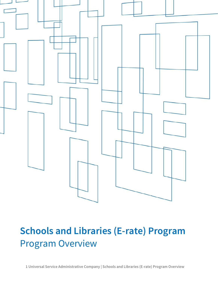

# **Schools and Libraries (E-rate) Program** Program Overview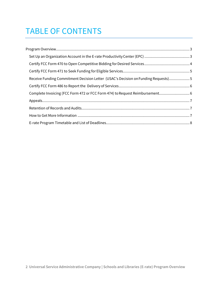# TABLE OF CONTENTS

| Receive Funding Commitment Decision Letter (USAC's Decision on Funding Requests) 5 |  |
|------------------------------------------------------------------------------------|--|
|                                                                                    |  |
| Complete Invoicing (FCC Form 472 or FCC Form 474) to Request Reimbursement 6       |  |
|                                                                                    |  |
|                                                                                    |  |
|                                                                                    |  |
|                                                                                    |  |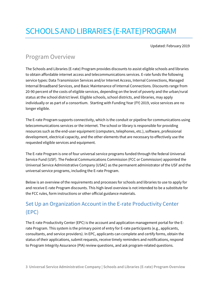# <span id="page-2-0"></span>SCHOOLS AND LIBRARIES (E-RATE)PROGRAM

Updated: February 2019

#### Program Overview

The Schools and Libraries (E-rate) Program provides discounts to assist eligible schools and libraries to obtain affordable internet access and telecommunications services. E-rate funds the following service types: Data Transmission Services and/or Internet Access, Internal Connections, Managed Internal Broadband Services, and Basic Maintenance of Internal Connections. Discounts range from 20-90 percent of the costs of eligible services, depending on the level of poverty and the urban/rural status at the school district level. Eligible schools, school districts, and libraries, may apply individually or as part of a consortium. Starting with Funding Year (FY) 2019, voice services are no longer eligible.

The E-rate Program supports connectivity, which is the conduit or pipeline for communications using telecommunications services or the internet. The school or library is responsible for providing resources such as the end-user equipment (computers, telephones, etc.), software, professional development, electrical capacity, and the other elements that are necessary to effectively use the requested eligible services and equipment.

The E-rate Program is one of four universal service programs funded through the federal Universal Service Fund (USF). The Federal Communications Commission (FCC or Commission) appointed the Universal Service Administrative Company (USAC) as the permanent administrator of the USF and the universal service programs, including the E-rate Program.

Below is an overview of the requirements and processes for schools and libraries to use to apply for and receive E-rate Program discounts. This high-level overview is not intended to be a substitute for the FCC rules, form instructions or other official guidance materials.

# <span id="page-2-1"></span>Set Up an Organization Account in the E-rate Productivity Center (EPC)

The E-rate Productivity Center (EPC) is the account and application management portal for the Erate Program. This system is the primary point of entry for E-rate participants (e.g., applicants, consultants, and service providers). In EPC, applicants can complete and certify forms, obtain the status of their applications, submit requests, receive timely reminders and notifications, respond to Program Integrity Assurance (PIA) review questions, and ask program-related questions.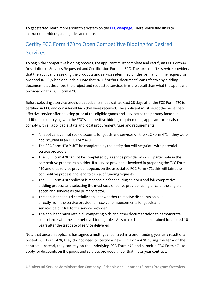To get started, learn more about this system on the **EPC webpage**. There, you'll find links to instructional videos, user guides and more.

# <span id="page-3-0"></span>Certify FCC Form 470 to Open Competitive Bidding for Desired **Services**

To begin the competitive bidding process, the applicant must complete and certify an FCC Form 470, Description of Services Requested and Certification Form, in EPC. The form notifies service providers that the applicant is seeking the products and services identified on the form and in the request for proposal (RFP), when applicable. Note that "RFP" or "RFP document" can refer to any bidding document that describes the project and requested services in more detail than what the applicant provided on the FCC Form 470.

Before selecting a service provider, applicants must wait at least 28 days after the FCC Form 470 is certified in EPC and consider all bids that were received. The applicant must select the most costeffective service offering using price of the eligible goods and services as the primary factor. In addition to complying with the FCC's competitive bidding requirements, applicants must also comply with all applicable state and local procurement rules and requirements.

- An applicant cannot seek discounts for goods and services on the FCC Form 471 if they were not included in an FCC Form470.
- The FCC Form 470 MUST be completed by the entity that will negotiate with potential service providers.
- The FCC Form 470 cannot be completed by a service provider who will participate in the competitive process as a bidder. If a service provider is involved in preparing the FCC Form 470 and that service provider appears on the associated FCC Form 471, this will taint the competitive process and lead to denial of fundingrequests.
- The FCC Form 470 applicant is responsible for ensuring an open and fair competitive bidding process and selecting the most cost-effective provider using price of the eligible goods and services as the primary factor.
- The applicant should carefully consider whether to receive discounts on bills directly from the service provider or receive reimbursements for goods and services paid infull to the service provider.
- The applicant must retain all competing bids and other documentation to demonstrate compliance with the competitive bidding rules. All such bids must be retained for at least 10 years after the last date of service delivered.

Note that once an applicant has signed a multi-year contract in a prior funding year as a result of a posted FCC Form 470, they do not need to certify a new FCC Form 470 during the term of the contract. Instead, they can rely on the underlying FCC Form 470 and submit a FCC Form 471 to apply for discounts on the goods and services provided under that multi-year contract.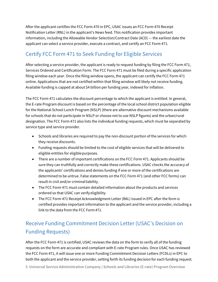After the applicant certifies the FCC Form 470 in EPC, USAC issues an FCC Form 470 Receipt Notification Letter (RNL) in the applicant's News feed. This notification provides important information, including the Allowable Vendor Selection/Contract Date (ACD) — the earliest date the applicant can select a service provider, execute a contract, and certify an FCC Form 471.

### <span id="page-4-0"></span>Certify FCC Form 471 to Seek Funding for Eligible Services

After selecting a service provider, the applicant is ready to request funding by filing the FCC Form 471, Services Ordered and Certification Form. The FCC Form 471 must be filed during a specific application filing window each year. Once the filing window opens, the applicant can certify the FCC Form 471 online. Applications that are not certified within that filing window will likely not receive funding. Available funding is capped at about \$4 billion per funding year, indexed for inflation.

The FCC Form 471 calculates the discount percentage to which the applicant is entitled. In general, the E-rate Program discount is based on the percentage of the local school district population eligible for the National School Lunch Program (NSLP) (there are alternative discount mechanisms available for schools that do not participate in NSLP or choose not to use NSLP figures) and the urban/rural designation. The FCC Form 471 also lists the individual funding requests, which must be separated by service type and service provider.

- Schools and libraries are required to pay the non-discount portion of the services for which they receive discounts.
- Funding requests should be limited to the cost of eligible services that will be delivered to eligible entities for eligiblepurposes.
- There are a number of important certifications on the FCC Form 471. Applicants should be sure they can truthfully and correctly make these certifications. USAC checks the accuracy of the applicants' certifications and denies funding if one or more of the certifications are determined to be untrue. False statements on the FCC Form 471 (and other FCC forms) can result in civil and/or criminal liability.
- The FCC Form 471 must contain detailed information about the products and services ordered so that USAC can verifyeligibility.
- The FCC Form 471 Receipt Acknowledgment Letter (RAL) issued in EPC after the form is certified provides important information to the applicant and the service provider, including a link to the data from the FCC Form471.

# <span id="page-4-1"></span>Receive Funding Commitment Decision Letter (USAC's Decision on Funding Requests)

After the FCC Form 471 is certified, USAC reviews the data on the form to verify all of the funding requests on the form are accurate and compliant with E-rate Program rules. Once USAC has reviewed the FCC Form 471, it will issue one or more Funding Commitment Decision Letters (FCDLs) in EPC to both the applicant and the service provider, setting forth its funding decision for each funding request.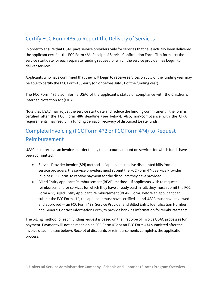### <span id="page-5-0"></span>Certify FCC Form 486 to Report the Delivery of Services

In order to ensure that USAC pays service providers only for services that have actually been delivered, the applicant certifies the FCC Form 486, Receipt of Service Confirmation Form. This form lists the service start date for each separate funding request for which the service provider has begun to deliver services.

Applicants who have confirmed that they will begin to receive services on July of the funding year may be able to certify the FCC Form 486 early (on or before July 31 of the funding year).

The FCC Form 486 also informs USAC of the applicant's status of compliance with the Children's Internet Protection Act (CIPA).

Note that USAC may adjust the service start date and reduce the funding commitment if the form is certified after the FCC Form 486 deadline (see below). Also, non-compliance with the CIPA requirements may result in a funding denial or recovery of disbursed E-rate funds.

# <span id="page-5-1"></span>Complete Invoicing (FCC Form 472 or FCC Form 474) to Request Reimbursement

USAC must receive an invoice in order to pay the discount amount on services for which funds have been committed.

- Service Provider Invoice (SPI) method If applicants receive discounted bills from service providers, the service providers must submit the FCC Form 474, Service Provider Invoice (SPI) Form, to receive payment for the discounts they have provided.
- Billed Entity Applicant Reimbursement (BEAR) method If applicants wish to request reimbursement for services for which they have already paid in full, they must submit the FCC Form 472, Billed Entity Applicant Reimbursement (BEAR) Form. Before an applicant can submit the FCC Form 472, the applicant must have certified — and USAC must have reviewed and approved — an FCC Form 498, Service Provider and Billed Entity Identification Number and General Contact Information Form, to provide banking information forreimbursements.

The billing method for each funding request is based on the first type of invoice USAC processes for payment. Payment will not be made on an FCC Form 472 or an FCC Form 474 submitted after the invoice deadline (see below). Receipt of discounts or reimbursements completes the application process.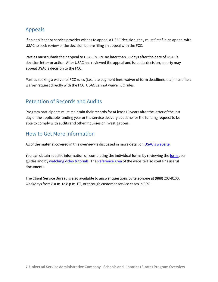#### <span id="page-6-0"></span>Appeals

If an applicant or service provider wishes to appeal a USAC decision, they must first file an appeal with USAC to seek review of the decision before filing an appeal with the FCC.

Parties must submit their appeal to USAC in EPC no later than 60 days after the date of USAC's decision letter or action. After USAC has reviewed the appeal and issued a decision, a party may appeal USAC's decision to the FCC.

Parties seeking a waiver of FCC rules (i.e., late payment fees, waiver of form deadlines, etc.) must file a waiver request directly with the FCC. USAC cannot waive FCC rules.

#### <span id="page-6-1"></span>Retention of Records and Audits

Program participants must maintain their records for at least 10 years after the latter of the last day of the applicable funding year or the service delivery deadline for the funding request to be able to comply with audits and other inquiries or investigations.

#### <span id="page-6-2"></span>How to Get More Information

All of the material covered in this overview is discussed in more detail o[n USAC's website.](http://www.usac.org/sl)

You can obtain specific information on completing the individual forms by reviewing th[e form u](http://usac.org/sl/tools/forms/default.aspx)ser guides and by watching [video tutorials.](http://www.usac.org/sl/about/outreach/online-learning.aspx) Th[e Reference Area o](http://www.usac.org/sl/tools/reference-area.aspx)f the website also contains useful documents.

The Client Service Bureau is also available to answer questions by telephone at (888) 203-8100, weekdays from 8 a.m. to 8 p.m. ET, or through customer service cases in EPC.